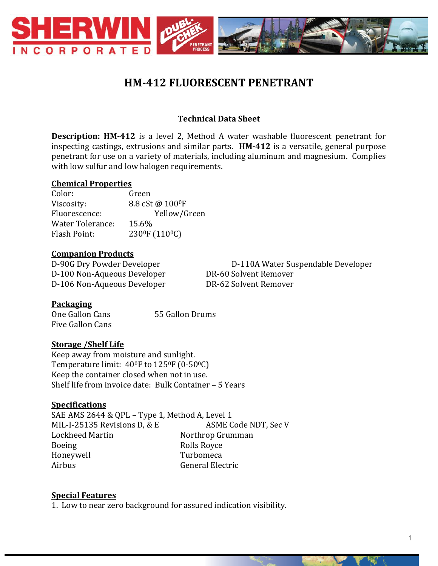

# **HM-412 FLUORESCENT PENETRANT**

# **Technical Data Sheet**

**Description: HM-412** is a level 2, Method A water washable fluorescent penetrant for inspecting castings, extrusions and similar parts. **HM-412** is a versatile, general purpose penetrant for use on a variety of materials, including aluminum and magnesium. Complies with low sulfur and low halogen requirements.

#### **Chemical Properties**

Color: Green Viscosity: 8.8 cSt @ 100°F Fluorescence: Yellow/Green Water Tolerance: 15.6% Flash Point: 230<sup>0</sup>F (110<sup>0</sup>C)

#### **Companion Products**

D-100 Non-Aqueous Developer DR-60 Solvent Remover D-106 Non-Aqueous Developer DR-62 Solvent Remover

D-90G Dry Powder Developer D-110A Water Suspendable Developer

### **Packaging**

One Gallon Cans 55 Gallon Drums Five Gallon Cans

### **Storage /Shelf Life**

Keep away from moisture and sunlight. Temperature limit: 400F to 1250F (0-500C) Keep the container closed when not in use. Shelf life from invoice date: Bulk Container – 5 Years

### **Specifications**

SAE AMS 2644 & QPL – Type 1, Method A, Level 1 MIL-I-25135 Revisions D, & E ASME Code NDT, Sec V Lockheed Martin Northrop Grumman Boeing Rolls Royce Honeywell Turbomeca Airbus General Electric

#### **Special Features**

1. Low to near zero background for assured indication visibility.